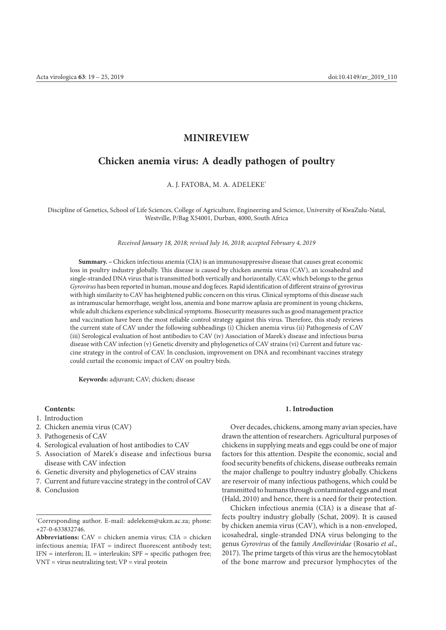## **MINIREVIEW**

# **Chicken anemia virus: A deadly pathogen of poultry**

A. J. FATOBA, M. A. ADELEKE\*

Discipline of Genetics, School of Life Sciences, College of Agriculture, Engineering and Science, University of KwaZulu-Natal, Westville, P/Bag X54001, Durban, 4000, South Africa

*Received January 18, 2018; revised July 16, 2018; accepted February 4, 2019*

**Summary. –** Chicken infectious anemia (CIA) is an immunosuppressive disease that causes great economic loss in poultry industry globally. This disease is caused by chicken anemia virus (CAV), an icosahedral and single-stranded DNA virus that is transmitted both vertically and horizontally. CAV, which belongs to the genus *Gyrovirus* has been reported in human, mouse and dog feces. Rapid identification of different strains of gyrovirus with high similarity to CAV has heightened public concern on this virus. Clinical symptoms of this disease such as intramuscular hemorrhage, weight loss, anemia and bone marrow aplasia are prominent in young chickens, while adult chickens experience subclinical symptoms. Biosecurity measures such as good management practice and vaccination have been the most reliable control strategy against this virus. Therefore, this study reviews the current state of CAV under the following subheadings (i) Chicken anemia virus (ii) Pathogenesis of CAV (iii) Serological evaluation of host antibodies to CAV (iv) Association of Marek's disease and infectious bursa disease with CAV infection (v) Genetic diversity and phylogenetics of CAV strains (vi) Current and future vaccine strategy in the control of CAV. In conclusion, improvement on DNA and recombinant vaccines strategy could curtail the economic impact of CAV on poultry birds.

**Keywords:** adjuvant; CAV; chicken; disease

## **Contents:**

- 1. Introduction
- 2. Chicken anemia virus (CAV)
- 3. Pathogenesis of CAV
- 4. Serological evaluation of host antibodies to CAV
- 5. Association of Marek's disease and infectious bursa disease with CAV infection
- 6. Genetic diversity and phylogenetics of CAV strains
- 7. Current and future vaccine strategy in the control of CAV
- 8. Conclusion

## **1. Introduction**

Over decades, chickens, among many avian species, have drawn the attention of researchers. Agricultural purposes of chickens in supplying meats and eggs could be one of major factors for this attention. Despite the economic, social and food security benefits of chickens, disease outbreaks remain the major challenge to poultry industry globally. Chickens are reservoir of many infectious pathogens, which could be transmitted to humans through contaminated eggs and meat (Hald, 2010) and hence, there is a need for their protection.

Chicken infectious anemia (CIA) is a disease that affects poultry industry globally (Schat, 2009). It is caused by chicken anemia virus (CAV), which is a non-enveloped, icosahedral, single-stranded DNA virus belonging to the genus *Gyrovirus* of the family *Anelloviridae* (Rosario *et al*., 2017). The prime targets of this virus are the hemocytoblast of the bone marrow and precursor lymphocytes of the

<sup>\*</sup> Corresponding author. E-mail: adelekem@ukzn.ac.za; phone: +27-0-633832746.

**Abbreviations:**  $CAV =$  chicken anemia virus;  $CIA =$  chicken infectious anemia; IFAT = indirect fluorescent antibody test; IFN = interferon; IL = interleukin; SPF = specific pathogen free; VNT = virus neutralizing test; VP = viral protein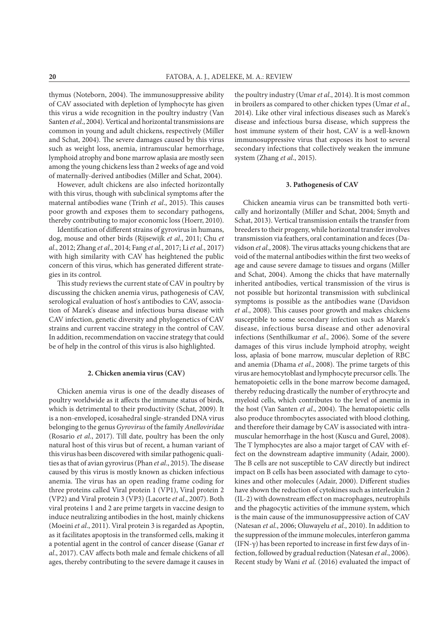thymus (Noteborn, 2004). The immunosuppressive ability of CAV associated with depletion of lymphocyte has given this virus a wide recognition in the poultry industry (Van Santen *et al*., 2004). Vertical and horizontal transmissions are common in young and adult chickens, respectively (Miller and Schat, 2004). The severe damages caused by this virus such as weight loss, anemia, intramuscular hemorrhage, lymphoid atrophy and bone marrow aplasia are mostly seen among the young chickens less than 2 weeks of age and void of maternally-derived antibodies (Miller and Schat, 2004).

However, adult chickens are also infected horizontally with this virus, though with subclinical symptoms after the maternal antibodies wane (Trinh *et al*., 2015). This causes poor growth and exposes them to secondary pathogens, thereby contributing to major economic loss (Hoerr, 2010).

Identification of different strains of gyrovirus in humans, dog, mouse and other birds (Rijsewijk *et al*., 2011; Chu *et al*., 2012; Zhang *et al*., 2014; Fang *et al*., 2017; Li *et al*., 2017) with high similarity with CAV has heightened the public concern of this virus, which has generated different strategies in its control.

This study reviews the current state of CAV in poultry by discussing the chicken anemia virus, pathogenesis of CAV, serological evaluation of host's antibodies to CAV, association of Marek's disease and infectious bursa disease with CAV infection, genetic diversity and phylogenetics of CAV strains and current vaccine strategy in the control of CAV. In addition, recommendation on vaccine strategy that could be of help in the control of this virus is also highlighted.

#### **2. Chicken anemia virus (CAV)**

Chicken anemia virus is one of the deadly diseases of poultry worldwide as it affects the immune status of birds, which is detrimental to their productivity (Schat, 2009). It is a non-enveloped, icosahedral single-stranded DNA virus belonging to the genus *Gyrovirus* of the family *Anelloviridae* (Rosario *et al*., 2017). Till date, poultry has been the only natural host of this virus but of recent, a human variant of this virus has been discovered with similar pathogenic qualities as that of avian gyrovirus (Phan *et al*., 2015). The disease caused by this virus is mostly known as chicken infectious anemia. The virus has an open reading frame coding for three proteins called Viral protein 1 (VP1), Viral protein 2 (VP2) and Viral protein 3 (VP3) (Lacorte *et al*., 2007). Both viral proteins 1 and 2 are prime targets in vaccine design to induce neutralizing antibodies in the host, mainly chickens (Moeini *et al*., 2011). Viral protein 3 is regarded as Apoptin, as it facilitates apoptosis in the transformed cells, making it a potential agent in the control of cancer disease (Ganar *et al*., 2017). CAV affects both male and female chickens of all ages, thereby contributing to the severe damage it causes in

the poultry industry (Umar *et al*., 2014). It is most common in broilers as compared to other chicken types (Umar *et al*., 2014). Like other viral infectious diseases such as Marek's disease and infectious bursa disease, which suppress the host immune system of their host, CAV is a well-known immunosuppressive virus that exposes its host to several secondary infections that collectively weaken the immune system (Zhang *et al*., 2015).

#### **3. Pathogenesis of CAV**

Chicken aneamia virus can be transmitted both vertically and horizontally (Miller and Schat, 2004; Smyth and Schat, 2013). Vertical transmission entails the transfer from breeders to their progeny, while horizontal transfer involves transmission via feathers, oral contamination and feces (Davidson *et al*., 2008). The virus attacks young chickens that are void of the maternal antibodies within the first two weeks of age and cause severe damage to tissues and organs (Miller and Schat, 2004). Among the chicks that have maternally inherited antibodies, vertical transmission of the virus is not possible but horizontal transmission with subclinical symptoms is possible as the antibodies wane (Davidson *et al*., 2008). This causes poor growth and makes chickens susceptible to some secondary infection such as Marek's disease, infectious bursa disease and other adenoviral infections (Senthilkumar *et al*., 2006). Some of the severe damages of this virus include lymphoid atrophy, weight loss, aplasia of bone marrow, muscular depletion of RBC and anemia (Dhama *et al*., 2008). The prime targets of this virus are hemocytoblast and lymphocyte precursor cells. The hematopoietic cells in the bone marrow become damaged, thereby reducing drastically the number of erythrocyte and myeloid cells, which contributes to the level of anemia in the host (Van Santen *et al*., 2004). The hematopoietic cells also produce thrombocytes associated with blood clothing, and therefore their damage by CAV is associated with intramuscular hemorrhage in the host (Kuscu and Gurel, 2008). The T lymphocytes are also a major target of CAV with effect on the downstream adaptive immunity (Adair, 2000). The B cells are not susceptible to CAV directly but indirect impact on B cells has been associated with damage to cytokines and other molecules (Adair, 2000). Different studies have shown the reduction of cytokines such as interleukin 2 (IL-2) with downstream effect on macrophages, neutrophils and the phagocytic activities of the immune system, which is the main cause of the immunosuppressive action of CAV (Natesan *et al*., 2006; Oluwayelu *et al*., 2010). In addition to the suppression of the immune molecules, interferon gamma (IFN-γ) has been reported to increase in first few days of infection, followed by gradual reduction (Natesan *et al*., 2006). Recent study by Wani *et al.* (2016) evaluated the impact of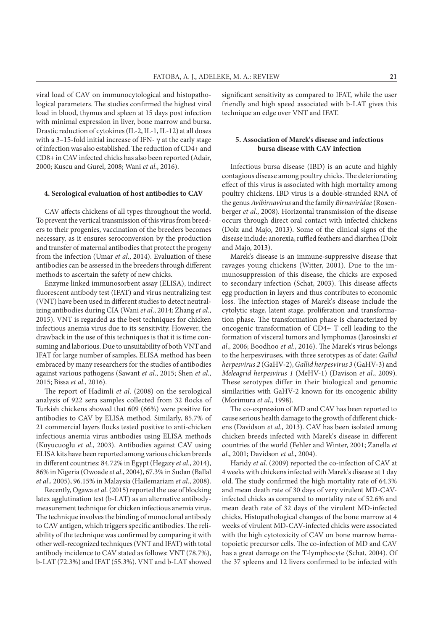viral load of CAV on immunocytological and histopathological parameters. The studies confirmed the highest viral load in blood, thymus and spleen at 15 days post infection with minimal expression in liver, bone marrow and bursa. Drastic reduction of cytokines (IL-2, IL-1, IL-12) at all doses with a 3–15-fold initial increase of IFN-  $\gamma$  at the early stage of infection was also established. The reduction of CD4+ and CD8+ in CAV infected chicks has also been reported (Adair, 2000; Kuscu and Gurel, 2008; Wani *et al*., 2016).

#### **4. Serological evaluation of host antibodies to CAV**

CAV affects chickens of all types throughout the world. To prevent the vertical transmission of this virus from breeders to their progenies, vaccination of the breeders becomes necessary, as it ensures seroconversion by the production and transfer of maternal antibodies that protect the progeny from the infection (Umar *et al*., 2014). Evaluation of these antibodies can be assessed in the breeders through different methods to ascertain the safety of new chicks.

Enzyme linked immunosorbent assay (ELISA), indirect fluorescent antibody test (IFAT) and virus neutralizing test (VNT) have been used in different studies to detect neutralizing antibodies during CIA (Wani *et al*., 2014; Zhang *et al*., 2015). VNT is regarded as the best techniques for chicken infectious anemia virus due to its sensitivity. However, the drawback in the use of this techniques is that it is time consuming and laborious. Due to unsuitability of both VNT and IFAT for large number of samples, ELISA method has been embraced by many researchers for the studies of antibodies against various pathogens (Sawant *et al*., 2015; Shen *et al*., 2015; Bissa *et al*., 2016).

The report of Hadimli *et al*. (2008) on the serological analysis of 922 sera samples collected from 32 flocks of Turkish chickens showed that 609 (66%) were positive for antibodies to CAV by ELISA method. Similarly, 85.7% of 21 commercial layers flocks tested positive to anti-chicken infectious anemia virus antibodies using ELISA methods (Kuyucuoglu *et al*., 2003). Antibodies against CAV using ELISA kits have been reported among various chicken breeds in different countries: 84.72% in Egypt (Hegazy *et al*., 2014), 86% in Nigeria (Owoade *et al*., 2004), 67.3% in Sudan (Ballal *et al*., 2005), 96.15% in Malaysia (Hailemariam *et al*., 2008).

Recently, Ogawa *et al*. (2015) reported the use of blocking latex agglutination test (b-LAT) as an alternative antibodymeasurement technique for chicken infectious anemia virus. The technique involves the binding of monoclonal antibody to CAV antigen, which triggers specific antibodies. The reliability of the technique was confirmed by comparing it with other well-recognized techniques (VNT and IFAT) with total antibody incidence to CAV stated as follows: VNT (78.7%), b-LAT (72.3%) and IFAT (55.3%). VNT and b-LAT showed

significant sensitivity as compared to IFAT, while the user friendly and high speed associated with b-LAT gives this technique an edge over VNT and IFAT.

## **5. Association of Marek's disease and infectious bursa disease with CAV infection**

Infectious bursa disease (IBD) is an acute and highly contagious disease among poultry chicks. The deteriorating effect of this virus is associated with high mortality among poultry chickens. IBD virus is a double-stranded RNA of the genus *Avibirnavirus* and the family *Birnaviridae* (Rosenberger *et al*., 2008). Horizontal transmission of the disease occurs through direct oral contact with infected chickens (Dolz and Majo, 2013). Some of the clinical signs of the disease include: anorexia, ruffled feathers and diarrhea (Dolz and Majo, 2013).

Marek's disease is an immune-suppressive disease that ravages young chickens (Witter, 2001). Due to the immunosuppression of this disease, the chicks are exposed to secondary infection (Schat, 2003). This disease affects egg production in layers and thus contributes to economic loss. The infection stages of Marek's disease include the cytolytic stage, latent stage, proliferation and transformation phase. The transformation phase is characterized by oncogenic transformation of CD4+ T cell leading to the formation of visceral tumors and lymphomas (Jarosinski *et al*., 2006; Boodhoo *et al*., 2016). The Marek's virus belongs to the herpesviruses, with three serotypes as of date: *Gallid herpesvirus 2* (GaHV-2), *Gallid herpesvirus 3* (GaHV-3) and *Meleagrid herpesvirus 1* (MeHV-1) (Davison *et al*., 2009). These serotypes differ in their biological and genomic similarities with GaHV-2 known for its oncogenic ability (Morimura *et al*., 1998).

The co-expression of MD and CAV has been reported to cause serious health damage to the growth of different chickens (Davidson *et al*., 2013). CAV has been isolated among chicken breeds infected with Marek's disease in different countries of the world (Fehler and Winter, 2001; Zanella *et al*., 2001; Davidson *et al*., 2004).

Haridy *et al*. (2009) reported the co-infection of CAV at 4 weeks with chickens infected with Marek's disease at 1 day old. The study confirmed the high mortality rate of 64.3% and mean death rate of 30 days of very virulent MD-CAVinfected chicks as compared to mortality rate of 52.6% and mean death rate of 32 days of the virulent MD-infected chicks. Histopathological changes of the bone marrow at 4 weeks of virulent MD-CAV-infected chicks were associated with the high cytotoxicity of CAV on bone marrow hematopoietic precursor cells. The co-infection of MD and CAV has a great damage on the T-lymphocyte (Schat, 2004). Of the 37 spleens and 12 livers confirmed to be infected with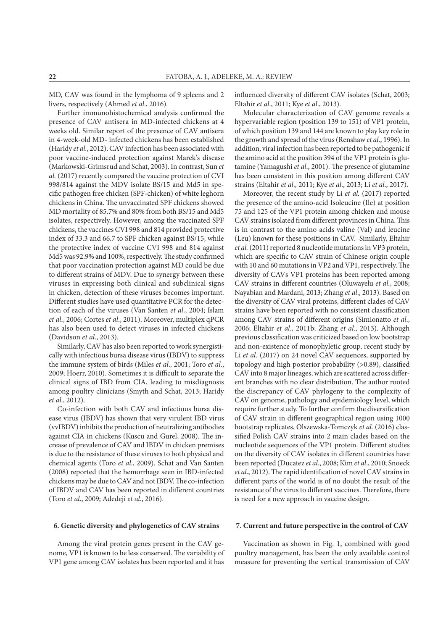MD, CAV was found in the lymphoma of 9 spleens and 2 livers, respectively (Ahmed *et al*., 2016).

Further immunohistochemical analysis confirmed the presence of CAV antisera in MD-infected chickens at 4 weeks old. Similar report of the presence of CAV antisera in 4-week-old MD- infected chickens has been established (Haridy *et al*., 2012). CAV infection has been associated with poor vaccine-induced protection against Marek's disease (Markowski-Grimsrud and Schat, 2003). In contrast, Sun *et al.* (2017) recently compared the vaccine protection of CVI 998/814 against the MDV isolate BS/15 and Md5 in specific pathogen free chicken (SPF-chicken) of white leghorn chickens in China. The unvaccinated SPF chickens showed MD mortality of 85.7% and 80% from both BS/15 and Md5 isolates, respectively. However, among the vaccinated SPF chickens, the vaccines CVI 998 and 814 provided protective index of 33.3 and 66.7 to SPF chicken against BS/15, while the protective index of vaccine CVI 998 and 814 against Md5 was 92.9% and 100%, respectively. The study confirmed that poor vaccination protection against MD could be due to different strains of MDV. Due to synergy between these viruses in expressing both clinical and subclinical signs in chicken, detection of these viruses becomes important. Different studies have used quantitative PCR for the detection of each of the viruses (Van Santen *et al*., 2004; Islam *et al*., 2006; Cortes *et al*., 2011). Moreover, multiplex qPCR has also been used to detect viruses in infected chickens (Davidson *et al*., 2013).

Similarly, CAV has also been reported to work synergistically with infectious bursa disease virus (IBDV) to suppress the immune system of birds (Miles *et al*., 2001; Toro *et al*., 2009; Hoerr, 2010). Sometimes it is difficult to separate the clinical signs of IBD from CIA, leading to misdiagnosis among poultry clinicians (Smyth and Schat, 2013; Haridy *et al*., 2012).

Co-infection with both CAV and infectious bursa disease virus (IBDV) has shown that very virulent IBD virus (vvIBDV) inhibits the production of neutralizing antibodies against CIA in chickens (Kuscu and Gurel, 2008). The increase of prevalence of CAV and IBDV in chicken premises is due to the resistance of these viruses to both physical and chemical agents (Toro *et al*., 2009). Schat and Van Santen (2008) reported that the hemorrhage seen in IBD-infected chickens may be due to CAV and not IBDV. The co-infection of IBDV and CAV has been reported in different countries (Toro *et al*., 2009; Adedeji *et al*., 2016).

#### **6. Genetic diversity and phylogenetics of CAV strains**

Among the viral protein genes present in the CAV genome, VP1 is known to be less conserved. The variability of VP1 gene among CAV isolates has been reported and it has

influenced diversity of different CAV isolates (Schat, 2003; Eltahir *et al*., 2011; Kye *et al*., 2013).

Molecular characterization of CAV genome reveals a hypervariable region (position 139 to 151) of VP1 protein, of which position 139 and 144 are known to play key role in the growth and spread of the virus (Renshaw *et al*., 1996). In addition, viral infection has been reported to be pathogenic if the amino acid at the position 394 of the VP1 protein is glutamine (Yamagushi *et al*., 2001). The presence of glutamine has been consistent in this position among different CAV strains (Eltahir *et al*., 2011; Kye *et al*., 2013; Li *et al*., 2017).

Moreover, the recent study by Li *et al.* (2017) reported the presence of the amino-acid Isoleucine (Ile) at position 75 and 125 of the VP1 protein among chicken and mouse CAV strains isolated from different provinces in China. This is in contrast to the amino acids valine (Val) and leucine (Leu) known for these positions in CAV. Similarly, Eltahir *et al.* (2011) reported 8 nucleotide mutations in VP3 protein, which are specific to CAV strain of Chinese origin couple with 10 and 60 mutations in VP2 and VP1, respectively. The diversity of CAVs VP1 proteins has been reported among CAV strains in different countries (Oluwayelu *et al*., 2008; Nayabian and Mardani, 2013; Zhang *et al*., 2013). Based on the diversity of CAV viral proteins, different clades of CAV strains have been reported with no consistent classification among CAV strains of different origins (Simionatto *et al*., 2006; Eltahir *et al*., 2011b; Zhang *et al*., 2013). Although previous classification was criticized based on low bootstrap and non-existence of monophyletic group, recent study by Li *et al.* (2017) on 24 novel CAV sequences, supported by topology and high posterior probability (>0.89), classified CAV into 8 major lineages, which are scattered across different branches with no clear distribution. The author rooted the discrepancy of CAV phylogeny to the complexity of CAV on genome, pathology and epidemiology level, which require further study. To further confirm the diversification of CAV strain in different geographical region using 1000 bootstrap replicates, Olszewska-Tomczyk *et al.* (2016) classified Polish CAV strains into 2 main clades based on the nucleotide sequences of the VP1 protein. Different studies on the diversity of CAV isolates in different countries have been reported (Ducatez *et al*., 2008; Kim *et al*., 2010; Snoeck *et al*., 2012). The rapid identification of novel CAV strains in different parts of the world is of no doubt the result of the resistance of the virus to different vaccines. Therefore, there is need for a new approach in vaccine design.

## **7. Current and future perspective in the control of CAV**

Vaccination as shown in Fig. 1, combined with good poultry management, has been the only available control measure for preventing the vertical transmission of CAV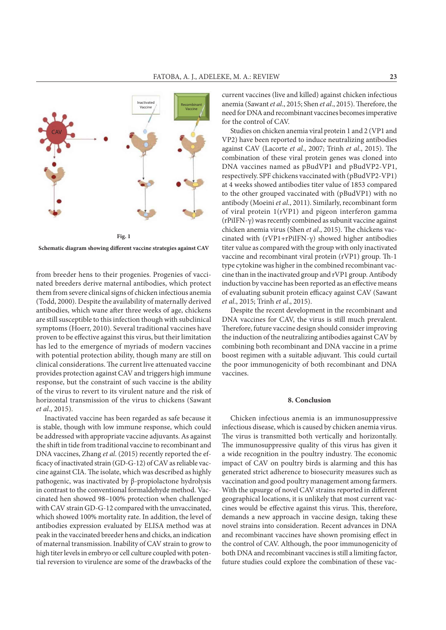

**Schematic diagram showing different vaccine strategies against CAV**

from breeder hens to their progenies. Progenies of vaccinated breeders derive maternal antibodies, which protect them from severe clinical signs of chicken infectious anemia (Todd, 2000). Despite the availability of maternally derived antibodies, which wane after three weeks of age, chickens are still susceptible to this infection though with subclinical symptoms (Hoerr, 2010). Several traditional vaccines have proven to be effective against this virus, but their limitation has led to the emergence of myriads of modern vaccines with potential protection ability, though many are still on clinical considerations. The current live attenuated vaccine provides protection against CAV and triggers high immune response, but the constraint of such vaccine is the ability of the virus to revert to its virulent nature and the risk of horizontal transmission of the virus to chickens (Sawant *et al*., 2015).

Inactivated vaccine has been regarded as safe because it is stable, though with low immune response, which could be addressed with appropriate vaccine adjuvants. As against the shift in tide from traditional vaccine to recombinant and DNA vaccines, Zhang *et al*. (2015) recently reported the efficacy of inactivated strain (GD-G-12) of CAV as reliable vaccine against CIA. The isolate, which was described as highly pathogenic, was inactivated by β-propiolactone hydrolysis in contrast to the conventional formaldehyde method. Vaccinated hen showed 98–100% protection when challenged with CAV strain GD-G-12 compared with the unvaccinated, which showed 100% mortality rate. In addition, the level of antibodies expression evaluated by ELISA method was at peak in the vaccinated breeder hens and chicks, an indication of maternal transmission. Inability of CAV strain to grow to high titer levels in embryo or cell culture coupled with potential reversion to virulence are some of the drawbacks of the

current vaccines (live and killed) against chicken infectious anemia (Sawant *et al*., 2015; Shen *et al*., 2015). Therefore, the need for DNA and recombinant vaccines becomes imperative for the control of CAV.

Studies on chicken anemia viral protein 1 and 2 (VP1 and VP2) have been reported to induce neutralizing antibodies against CAV (Lacorte *et al*., 2007; Trinh *et al*., 2015). The combination of these viral protein genes was cloned into DNA vaccines named as pBudVP1 and pBudVP2-VP1, respectively. SPF chickens vaccinated with (pBudVP2-VP1) at 4 weeks showed antibodies titer value of 1853 compared to the other grouped vaccinated with (pBudVP1) with no antibody (Moeini *et al*., 2011). Similarly, recombinant form of viral protein 1(rVP1) and pigeon interferon gamma (rPiIFN-γ) was recently combined as subunit vaccine against chicken anemia virus (Shen *et al*., 2015). The chickens vaccinated with (rVP1+rPiIFN-γ) showed higher antibodies titer value as compared with the group with only inactivated vaccine and recombinant viral protein (rVP1) group. Th-1 type cytokine was higher in the combined recombinant vaccine than in the inactivated group and rVP1 group. Antibody induction by vaccine has been reported as an effective means of evaluating subunit protein efficacy against CAV (Sawant *et al*., 2015; Trinh *et al*., 2015).

Despite the recent development in the recombinant and DNA vaccines for CAV, the virus is still much prevalent. Therefore, future vaccine design should consider improving the induction of the neutralizing antibodies against CAV by combining both recombinant and DNA vaccine in a prime boost regimen with a suitable adjuvant. This could curtail the poor immunogenicity of both recombinant and DNA vaccines.

#### **8. Conclusion**

Chicken infectious anemia is an immunosuppressive infectious disease, which is caused by chicken anemia virus. The virus is transmitted both vertically and horizontally. The immunosuppressive quality of this virus has given it a wide recognition in the poultry industry. The economic impact of CAV on poultry birds is alarming and this has generated strict adherence to biosecurity measures such as vaccination and good poultry management among farmers. With the upsurge of novel CAV strains reported in different geographical locations, it is unlikely that most current vaccines would be effective against this virus. This, therefore, demands a new approach in vaccine design, taking these novel strains into consideration. Recent advances in DNA and recombinant vaccines have shown promising effect in the control of CAV. Although, the poor immunogenicity of both DNA and recombinant vaccines is still a limiting factor, future studies could explore the combination of these vac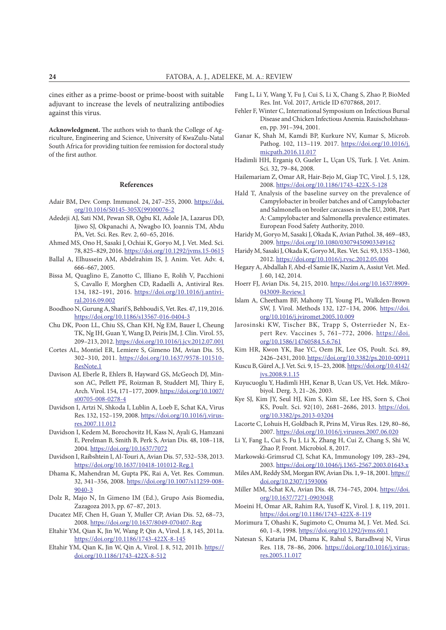cines either as a prime-boost or prime-boost with suitable adjuvant to increase the levels of neutralizing antibodies against this virus.

**Acknowledgment.** The authors wish to thank the College of Agriculture, Engineering and Science, University of KwaZulu-Natal South Africa for providing tuition fee remission for doctoral study of the first author.

#### **References**

- Adair BM, Dev. Comp. Immunol. 24, 247–255, 2000. https://doi. org/10.1016/S0145-305X(99)00076-2
- Adedeji AJ, Sati NM, Pewan SB, Ogbu KI, Adole JA, Lazarus DD, Ijiwo SJ, Okpanachi A, Nwagbo IO, Joannis TM, Abdu PA, Vet. Sci. Res. Rev. 2, 60–65, 2016.
- Ahmed MS, Ono H, Sasaki J, Ochiai K, Goryo M, J. Vet. Med. Sci. 78, 825–829, 2016. https://doi.org/10.1292/jvms.15-0615
- Ballal A, Elhussein AM, Abdelrahim IS, J. Anim. Vet. Adv. 4, 666–667, 2005.
- Bissa M, Quaglino E, Zanotto C, Illiano E, Rolih V, Pacchioni S, Cavallo F, Morghen CD, Radaelli A, Antiviral Res. 134, 182–191, 2016. https://doi.org/10.1016/j.antiviral.2016.09.002
- Boodhoo N, Gurung A, Sharif S, Behboudi S, Vet. Res. 47, 119, 2016. https://doi.org/10.1186/s13567-016-0404-3
- Chu DK, Poon LL, Chiu SS, Chan KH, Ng EM, Bauer I, Cheung TK, Ng IH, Guan Y, Wang D, Peiris JM, J. Clin. Virol. 55, 209–213, 2012. https://doi.org/10.1016/j.jcv.2012.07.001
- Cortes AL, Montiel ER, Lemiere S, Gimeno IM, Avian Dis. 55, 302–310, 2011. https://doi.org/10.1637/9578-101510- ResNote.1
- Davison AJ, Eberle R, Ehlers B, Hayward GS, McGeoch DJ, Minson AC, Pellett PE, Roizman B, Studdert MJ, Thiry E, Arch. Virol. 154, 171–177, 2009. https://doi.org/10.1007/ s00705-008-0278-4
- Davidson I, Artzi N, Shkoda I, Lublin A, Loeb E, Schat KA, Virus Res. 132, 152–159, 2008. https://doi.org/10.1016/j.virusres.2007.11.012
- Davidson I, Kedem M, Borochovitz H, Kass N, Ayali G, Hamzani E, Perelman B, Smith B, Perk S, Avian Dis. 48, 108–118, 2004. https://doi.org/10.1637/7072
- Davidson I, Raibshtein I, Al-Touri A, Avian Dis. 57, 532–538, 2013. https://doi.org/10.1637/10418-101012-Reg.1
- Dhama K, Mahendran M, Gupta PK, Rai A, Vet. Res. Commun. 32, 341–356, 2008. https://doi.org/10.1007/s11259-008- 9040-3
- Dolz R, Majo N, In Gimeno IM (Ed.), Grupo Asis Biomedia, Zazagoza 2013, pp. 67–87, 2013.
- Ducatez MF, Chen H, Guan Y, Muller CP, Avian Dis. 52, 68–73, 2008. https://doi.org/10.1637/8049-070407-Reg
- Eltahir YM, Qian K, Jin W, Wang P, Qin A, Virol. J. 8, 145, 2011a. https://doi.org/10.1186/1743-422X-8-145
- Eltahir YM, Qian K, Jin W, Qin A, Virol. J. 8, 512, 2011b. https:// doi.org/10.1186/1743-422X-8-512
- Fang L, Li Y, Wang Y, Fu J, Cui S, Li X, Chang S, Zhao P, BioMed Res. Int. Vol. 2017, Article ID 6707868, 2017.
- Fehler F, Winter C, International Symposium on Infectious Bursal Disease and Chicken Infectious Anemia. Rauischolzhausen, pp. 391–394, 2001.
- Ganar K, Shah M, Kamdi BP, Kurkure NV, Kumar S, Microb. Pathog. 102, 113–119. 2017. https://doi.org/10.1016/j. micpath.2016.11.017
- Hadimli HH, Erganiş O, Gueler L, Uçan US, Turk. J. Vet. Anim. Sci. 32, 79–84, 2008.
- Hailemariam Z, Omar AR, Hair-Bejo M, Giap TC, Virol. J. 5, 128, 2008. https://doi.org/10.1186/1743-422X-5-128
- Hald T, Analysis of the baseline survey on the prevalence of Campylobacter in broiler batches and of Campylobacter and Salmonella on broiler carcasses in the EU, 2008, Part A: Campylobacter and Salmonella prevalence estimates. European Food Safety Authority, 2010.
- Haridy M, Goryo M, Sasaki J, Okada K, Avian Pathol. 38, 469–483, 2009. https://doi.org/10.1080/03079450903349162
- Haridy M, Sasaki J, Okada K, Goryo M, Res. Vet. Sci. 93, 1353–1360, 2012. https://doi.org/10.1016/j.rvsc.2012.05.004
- Hegazy A, Abdallah F, Abd-el Samie IK, Nazim A, Assiut Vet. Med. J. 60, 142, 2014.
- Hoerr FJ, Avian Dis. 54, 215, 2010. https://doi.org/10.1637/8909- 043009-Review.1
- Islam A, Cheetham BF, Mahony TJ, Young PL, Walkden-Brown SW, J. Virol. Methods 132, 127–134, 2006. https://doi. org/10.1016/j.jviromet.2005.10.009
- Jarosinski KW, Tischer BK, Trapp S, Osterrieder N, Expert Rev. Vaccines 5, 761–772, 2006. https://doi. org/10.1586/14760584.5.6.761
- Kim HR, Kwon YK, Bae YC, Oem JK, Lee OS, Poult. Sci. 89, 2426–2431, 2010. https://doi.org/10.3382/ps.2010-00911
- Kuscu B, Gürel A, J. Vet. Sci. 9, 15–23, 2008. https://doi.org/10.4142/ jvs.2008.9.1.15
- Kuyucuoglu Y, Hadimli HH, Kenar B, Ucan US, Vet. Hek. Mikrobiyol. Derg. 3, 21–26, 2003.
- Kye SJ, Kim JY, Seul HJ, Kim S, Kim SE, Lee HS, Sorn S, Choi KS, Poult. Sci. 92(10), 2681–2686, 2013. https://doi. org/10.3382/ps.2013-03204
- Lacorte C, Lohuis H, Goldbach R, Prins M, Virus Res. 129, 80–86, 2007. https://doi.org/10.1016/j.virusres.2007.06.020
- Li Y, Fang L, Cui S, Fu J, Li X, Zhang H, Cui Z, Chang S, Shi W, Zhao P, Front. Microbiol. 8, 2017.
- Markowski‐Grimsrud CJ, Schat KA, Immunology 109, 283–294, 2003. https://doi.org/10.1046/j.1365-2567.2003.01643.x
- Miles AM, Reddy SM, Morgan RW, Avian Dis. 1, 9–18, 2001. https:// doi.org/10.2307/1593006
- Miller MM, Schat KA, Avian Dis. 48, 734–745, 2004. https://doi. org/10.1637/7271-090304R
- Moeini H, Omar AR, Rahim RA, Yusoff K, Virol. J. 8, 119, 2011. https://doi.org/10.1186/1743-422X-8-119
- Morimura T, Ohashi K, Sugimoto C, Onuma M, J. Vet. Med. Sci. 60, 1–8, 1998. https://doi.org/10.1292/jvms.60.1
- Natesan S, Kataria JM, Dhama K, Rahul S, Baradhwaj N, Virus Res. 118, 78–86, 2006. https://doi.org/10.1016/j.virusres.2005.11.017